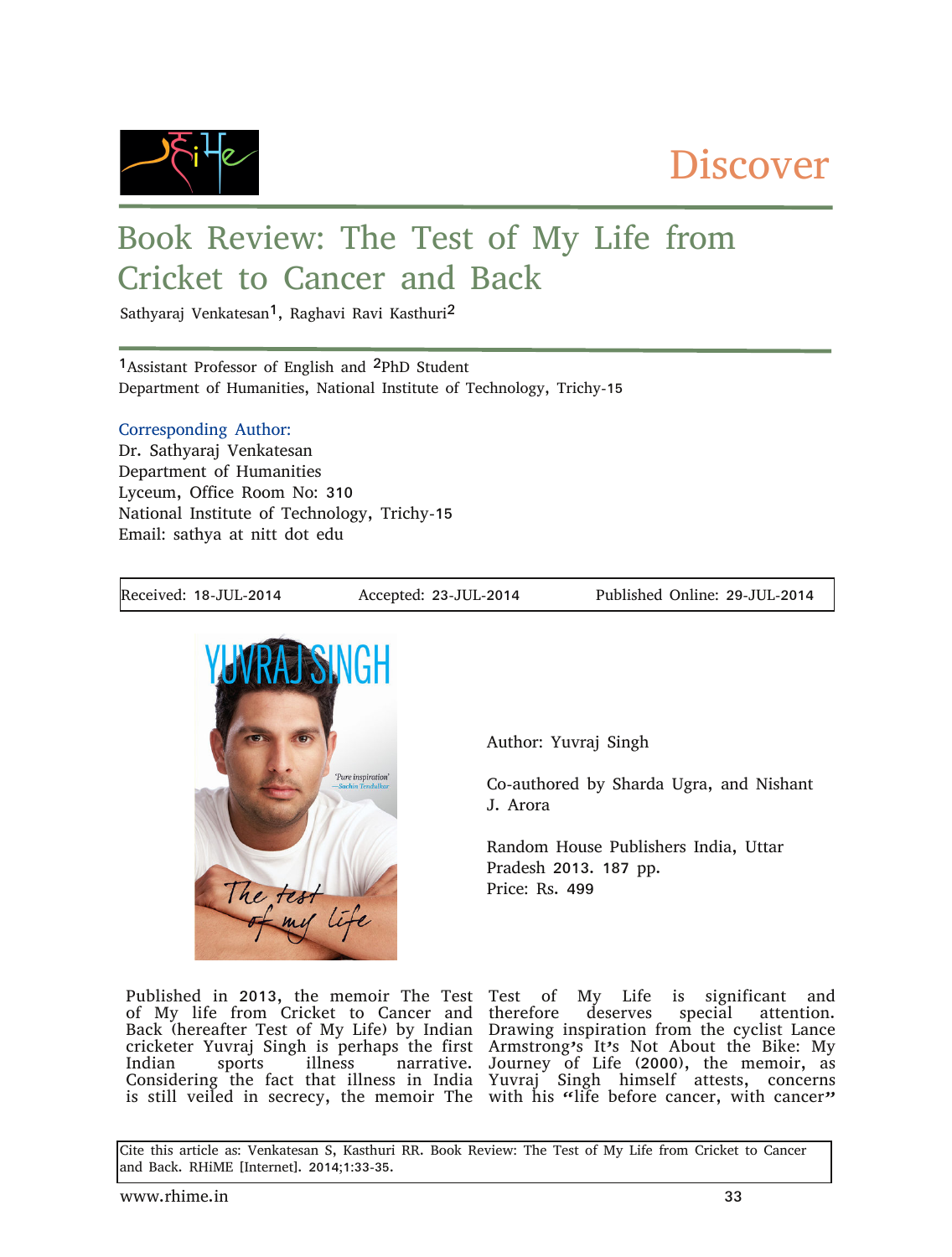

## **Discover**

## Book Review: The Test of My Life from Cricket to Cancer and Back

Sathyaraj Venkatesan<sup>1</sup>, Raghavi Ravi Kasthuri<sup>2</sup>

1Assistant Professor of English and 2PhD Student Department of Humanities, National Institute of Technology, Trichy-15

## Corresponding Author:

Dr. Sathyaraj Venkatesan Department of Humanities Lyceum, Office Room No: 310 National Institute of Technology, Trichy-15 Email: sathya at nitt dot edu

Received: 18-JUL-2014 Accepted: 23-JUL-2014 Published Online: 29-JUL-2014



Author: Yuvraj Singh

Co-authored by Sharda Ugra, and Nishant J. Arora

Random House Publishers India, Uttar Pradesh 2013. 187 pp. Price: Rs. 499

Published in 2013, the memoir The Test of My life from Cricket to Cancer and Back (hereafter Test of My Life) by Indian cricketer Yuvraj Singh is perhaps the first Indian sports illness narrative. Considering the fact that illness in India is still veiled in secrecy, the memoir The Test of My Life is significant and therefore deserves special attention. Drawing inspiration from the cyclist Lance Armstrong's It's Not About the Bike: My Journey of Life (2000), the memoir, as Yuvraj Singh himself attests, concerns with his "life before cancer, with cancer"

Cite this article as: Venkatesan S, Kasthuri RR. Book Review: The Test of My Life from Cricket to Cancer and Back. RHiME [Internet]. 2014;1:33-35.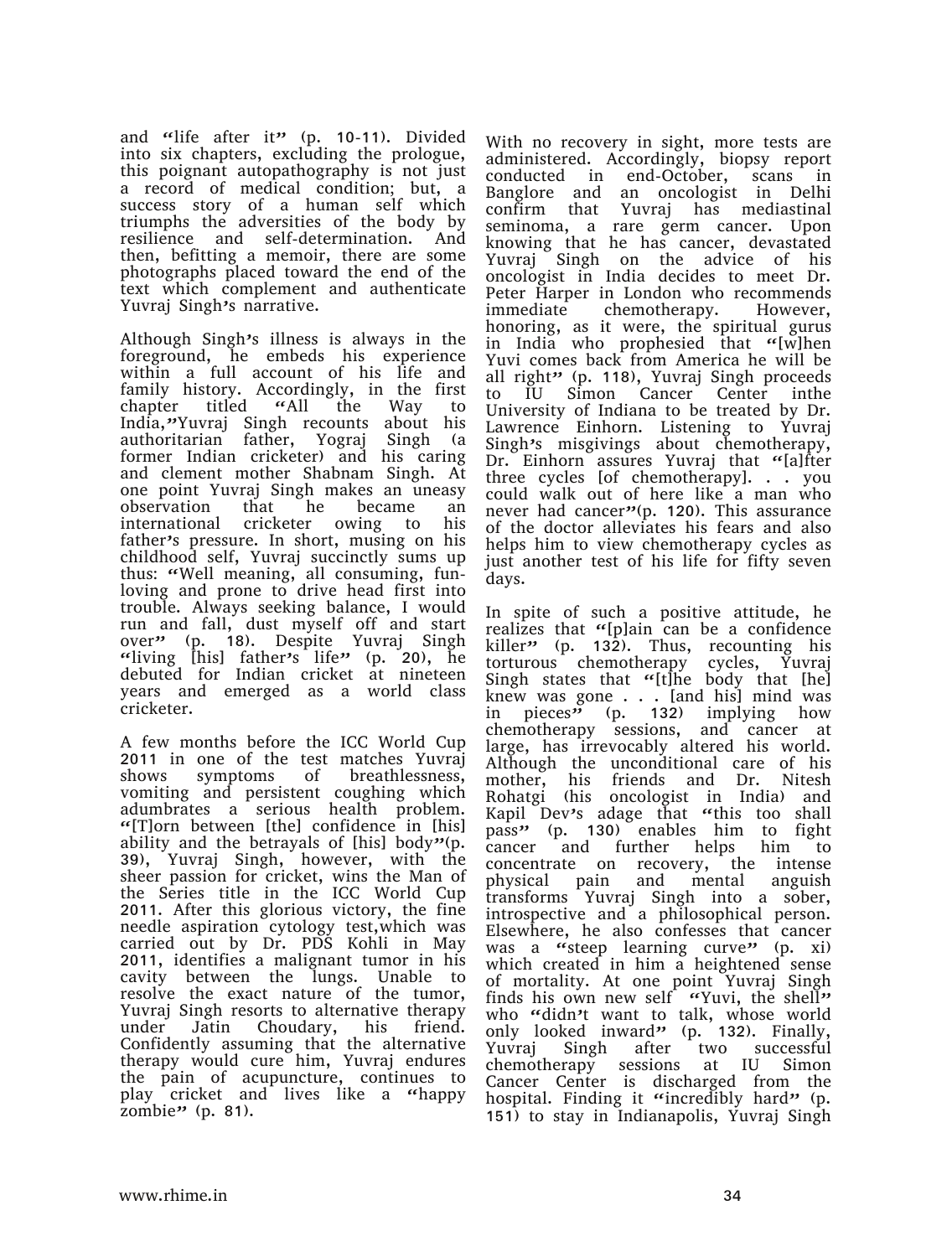and "life after it" (p. 10-11). Divided into six chapters, excluding the prologue, this poignant autopathography is not just a record of medical condition; but, a success story of a human self which triumphs the adversities of the body by resilience and self-determination. And then, befitting a memoir, there are some photographs placed toward the end of the text which complement and authenticate Yuvraj Singh's narrative.

Although Singh's illness is always in the foreground, he embeds his experience within a full account of his life and family history. Accordingly, in the first chapter titled "All the Way to India,"Yuvraj Singh recounts about his authoritarian father, Yograj Singh (a former Indian cricketer) and his caring and clement mother Shabnam Singh. At one point Yuvraj Singh makes an uneasy observation that he became an international cricketer owing to his father's pressure. In short, musing on his childhood self, Yuvraj succinctly sums up thus: "Well meaning, all consuming, funloving and prone to drive head first into trouble. Always seeking balance, I would run and fall, dust myself off and start over" (p. 18). Despite Yuvraj Singh "living [his] father's life" (p. 20), he debuted for Indian cricket at nineteen years and emerged as a world class cricketer.

A few months before the ICC World Cup 2011 in one of the test matches Yuvraj shows symptoms of breathlessness, vomiting and persistent coughing which adumbrates a serious health problem. "[T]orn between [the] confidence in [his] ability and the betrayals of [his] body"(p. 39), Yuvraj Singh, however, with the sheer passion for cricket, wins the Man of the Series title in the ICC World Cup 2011. After this glorious victory, the fine needle aspiration cytology test,which was carried out by Dr. PDS Kohli in May 2011, identifies a malignant tumor in his cavity between the lungs. Unable to resolve the exact nature of the tumor, Yuvraj Singh resorts to alternative therapy under Jatin Choudary, his friend. Confidently assuming that the alternative therapy would cure him, Yuvraj endures the pain of acupuncture, continues to play cricket and lives like a "happy zombie $"$  (p. 81).

With no recovery in sight, more tests are administered. Accordingly, biopsy report conducted in end-October, scans in Banglore and an oncologist in Delhi confirm that Yuvraj has mediastinal seminoma, a rare germ cancer. Upon knowing that he has cancer, devastated Yuvraj Singh on the advice of his oncologist in India decides to meet Dr. Peter Harper in London who recommends immediate chemotherapy. However, honoring, as it were, the spiritual gurus in India who prophesied that "[w]hen Yuvi comes back from America he will be all right" (p. 118), Yuvraj Singh proceeds to IU Simon Cancer Center inthe University of Indiana to be treated by Dr. Lawrence Einhorn. Listening to Yuvraj Singh's misgivings about chemotherapy, Dr. Einhorn assures Yuvraj that "[a]fter three cycles [of chemotherapy]. . . you could walk out of here like a man who never had cancer"(p. 120). This assurance of the doctor alleviates his fears and also helps him to view chemotherapy cycles as just another test of his life for fifty seven days.

In spite of such a positive attitude, he realizes that "[p]ain can be a confidence killer" (p. 132). Thus, recounting his torturous chemotherapy cycles, Yuvraj Singh states that "[t]he body that [he] knew was gone . . . [and his] mind was in pieces<sup>35</sup> (p. 132) implying how chemotherapy sessions, and cancer at large, has irrevocably altered his world. Although the unconditional care of his mother, his friends and Dr. Nitesh Rohatgi (his oncologist in India) and Kapil Dev's adage that "this too shall pass" (p. 130) enables him to fight cancer and further helps him to concentrate on recovery, the intense physical pain and mental anguish transforms Yuvraj Singh into a sober, introspective and a philosophical person. Elsewhere, he also confesses that cancer was a "steep learning curve" (p. xi) which created in him a heightened sense of mortality. At one point Yuvraj Singh finds his own new self "Yuvi, the shell" who "didn't want to talk, whose world only looked inward" (p. 132). Finally,<br>Yuvrai Singh after two successful Singh after two successful chemotherapy sessions at IU Simon Cancer Center is discharged from the hospital. Finding it "incredibly hard" (p. 151) to stay in Indianapolis, Yuvraj Singh